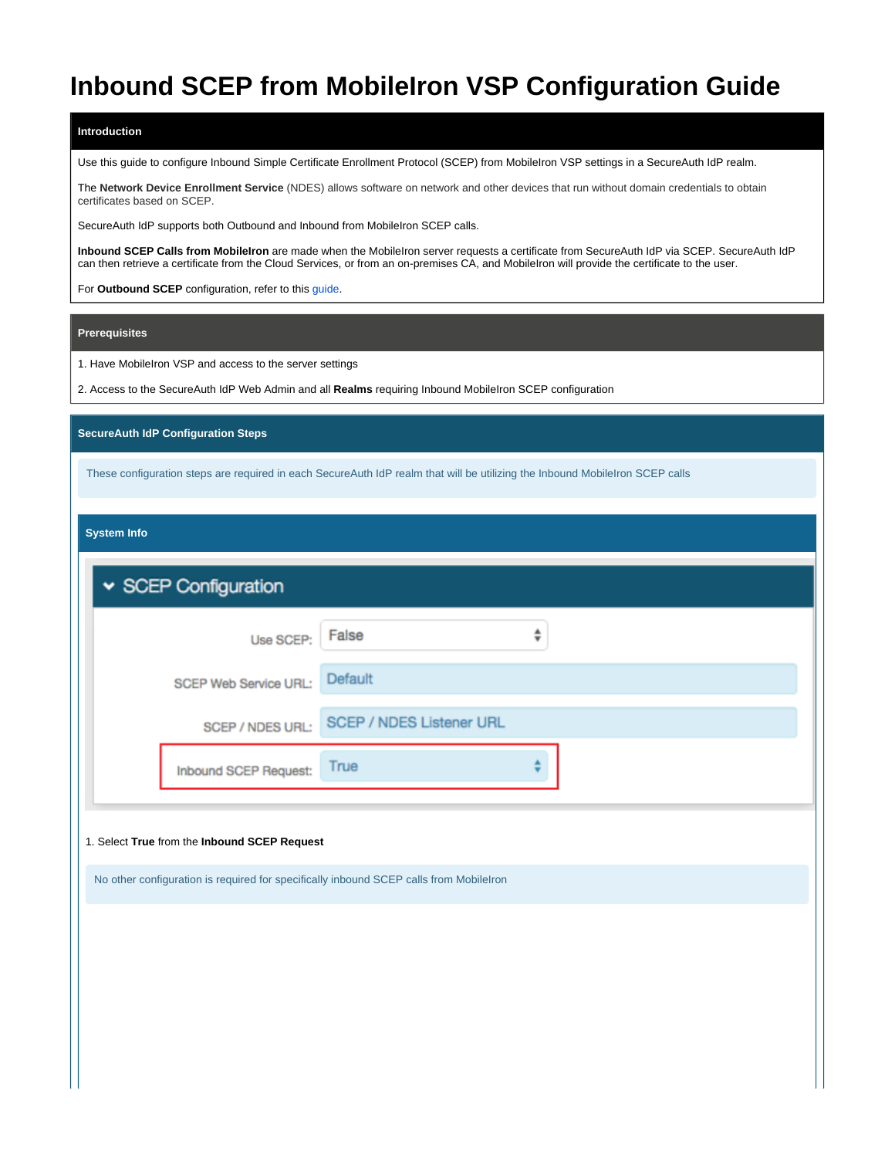# **Inbound SCEP from MobileIron VSP Configuration Guide**

#### **Introduction**

Use this guide to configure Inbound Simple Certificate Enrollment Protocol (SCEP) from MobileIron VSP settings in a SecureAuth IdP realm.

The **Network Device Enrollment Service** (NDES) allows software on network and other devices that run without domain credentials to obtain certificates based on SCEP.

SecureAuth IdP supports both Outbound and Inbound from MobileIron SCEP calls.

**Inbound SCEP Calls from MobileIron** are made when the MobileIron server requests a certificate from SecureAuth IdP via SCEP. SecureAuth IdP can then retrieve a certificate from the Cloud Services, or from an on-premises CA, and MobileIron will provide the certificate to the user.

For **Outbound SCEP** configuration, refer to this [guide](https://docs.classic.secureauth.com/display/91docs/Outbound+SCEP+Configuration+Guide).

#### **Prerequisites**

1. Have MobileIron VSP and access to the server settings

2. Access to the SecureAuth IdP Web Admin and all **Realms** requiring Inbound MobileIron SCEP configuration

### **SecureAuth IdP Configuration Steps**

These configuration steps are required in each SecureAuth IdP realm that will be utilizing the Inbound MobileIron SCEP calls

**System Info**

| Use SCEP:             | False                                                                                  | $\overset{\mathtt{A}}{\mathtt{v}}$ |  |
|-----------------------|----------------------------------------------------------------------------------------|------------------------------------|--|
| SCEP Web Service URL: | Default                                                                                |                                    |  |
| SCEP / NDES URL:      | <b>SCEP / NDES Listener URL</b>                                                        |                                    |  |
| Inbound SCEP Request: | True                                                                                   |                                    |  |
|                       | No other configuration is required for specifically inbound SCEP calls from Mobilelron |                                    |  |
|                       |                                                                                        |                                    |  |
|                       |                                                                                        |                                    |  |
|                       |                                                                                        |                                    |  |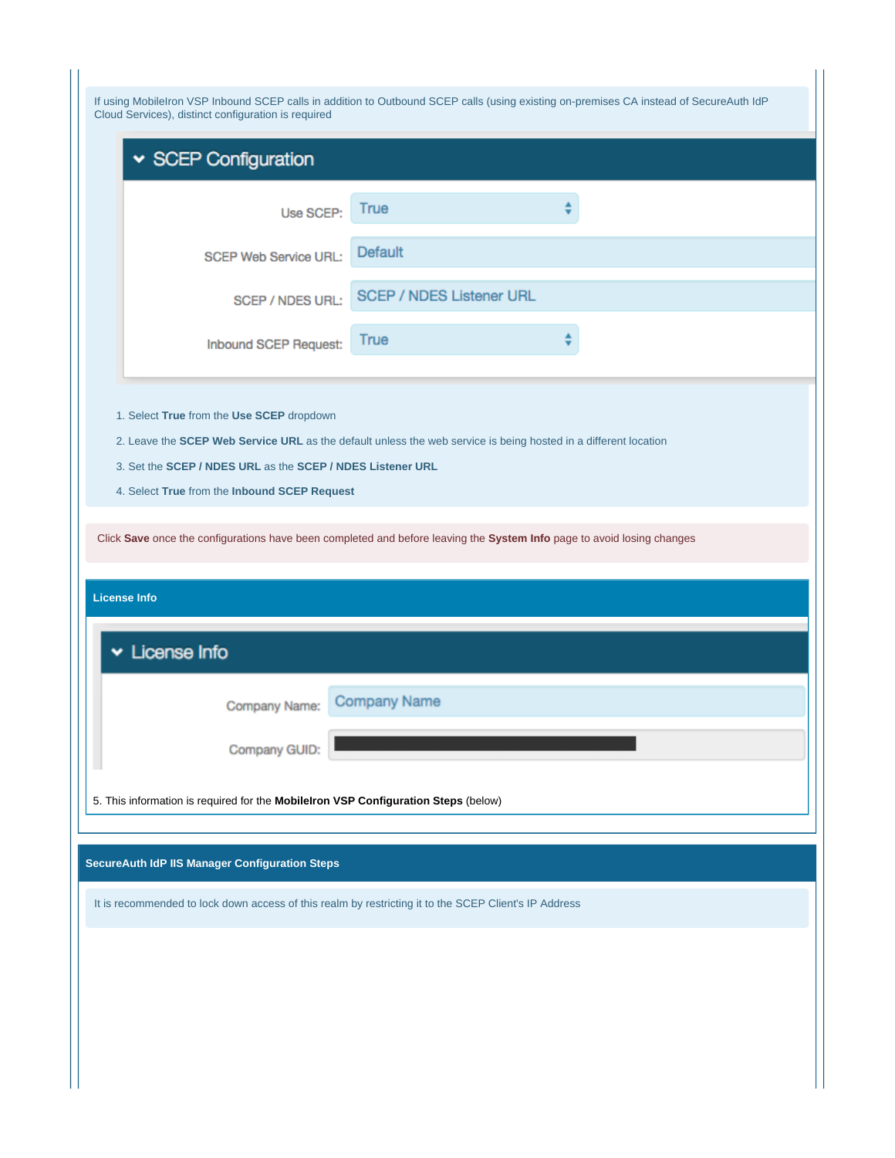| If using MobileIron VSP Inbound SCEP calls in addition to Outbound SCEP calls (using existing on-premises CA instead of SecureAuth IdP<br>Cloud Services), distinct configuration is required                                        |                                 |  |  |  |  |
|--------------------------------------------------------------------------------------------------------------------------------------------------------------------------------------------------------------------------------------|---------------------------------|--|--|--|--|
| SCEP Configuration                                                                                                                                                                                                                   |                                 |  |  |  |  |
| Use SCEP:                                                                                                                                                                                                                            | True                            |  |  |  |  |
| <b>SCEP Web Service URL:</b>                                                                                                                                                                                                         | Default                         |  |  |  |  |
| <b>SCEP / NDES URL:</b>                                                                                                                                                                                                              | <b>SCEP / NDES Listener URL</b> |  |  |  |  |
| Inbound SCEP Request:                                                                                                                                                                                                                | ♦<br>True                       |  |  |  |  |
| 3. Set the SCEP / NDES URL as the SCEP / NDES Listener URL<br>4. Select True from the Inbound SCEP Request<br>Click Save once the configurations have been completed and before leaving the System Info page to avoid losing changes |                                 |  |  |  |  |
| <b>License Info</b><br>v License Info                                                                                                                                                                                                |                                 |  |  |  |  |
| Company Name:                                                                                                                                                                                                                        | <b>Company Name</b>             |  |  |  |  |
| Company GUID:                                                                                                                                                                                                                        |                                 |  |  |  |  |
| 5. This information is required for the Mobilelron VSP Configuration Steps (below)                                                                                                                                                   |                                 |  |  |  |  |
| SecureAuth IdP IIS Manager Configuration Steps                                                                                                                                                                                       |                                 |  |  |  |  |
| It is recommended to lock down access of this realm by restricting it to the SCEP Client's IP Address                                                                                                                                |                                 |  |  |  |  |
|                                                                                                                                                                                                                                      |                                 |  |  |  |  |
|                                                                                                                                                                                                                                      |                                 |  |  |  |  |
|                                                                                                                                                                                                                                      |                                 |  |  |  |  |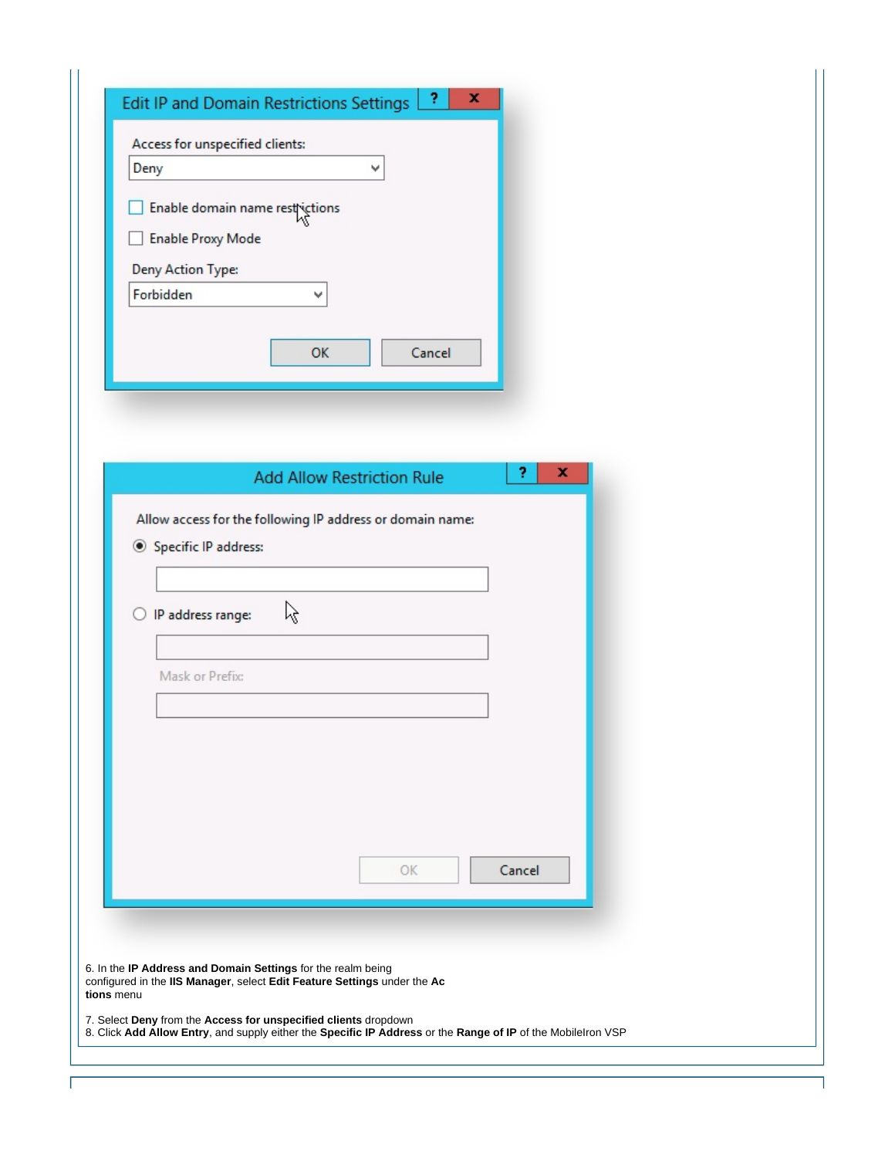| Deny                                                      | Access for unspecified clients:<br>v |        |  |
|-----------------------------------------------------------|--------------------------------------|--------|--|
| Enable domain name restrictions                           |                                      |        |  |
| <b>Enable Proxy Mode</b>                                  |                                      |        |  |
| Deny Action Type:<br>Forbidden                            |                                      |        |  |
|                                                           | $\checkmark$                         |        |  |
|                                                           | OK<br>Cancel                         |        |  |
|                                                           |                                      |        |  |
|                                                           |                                      |        |  |
|                                                           |                                      |        |  |
|                                                           | <b>Add Allow Restriction Rule</b>    | ?<br>× |  |
| Allow access for the following IP address or domain name: |                                      |        |  |
| Specific IP address:                                      |                                      |        |  |
|                                                           |                                      |        |  |
| ß<br>IP address range:<br>O                               |                                      |        |  |
|                                                           |                                      |        |  |
| Mask or Prefix:                                           |                                      |        |  |
|                                                           |                                      |        |  |
|                                                           |                                      |        |  |
|                                                           |                                      |        |  |
|                                                           |                                      |        |  |
|                                                           | OK                                   | Cancel |  |
|                                                           |                                      |        |  |
|                                                           |                                      |        |  |
|                                                           |                                      |        |  |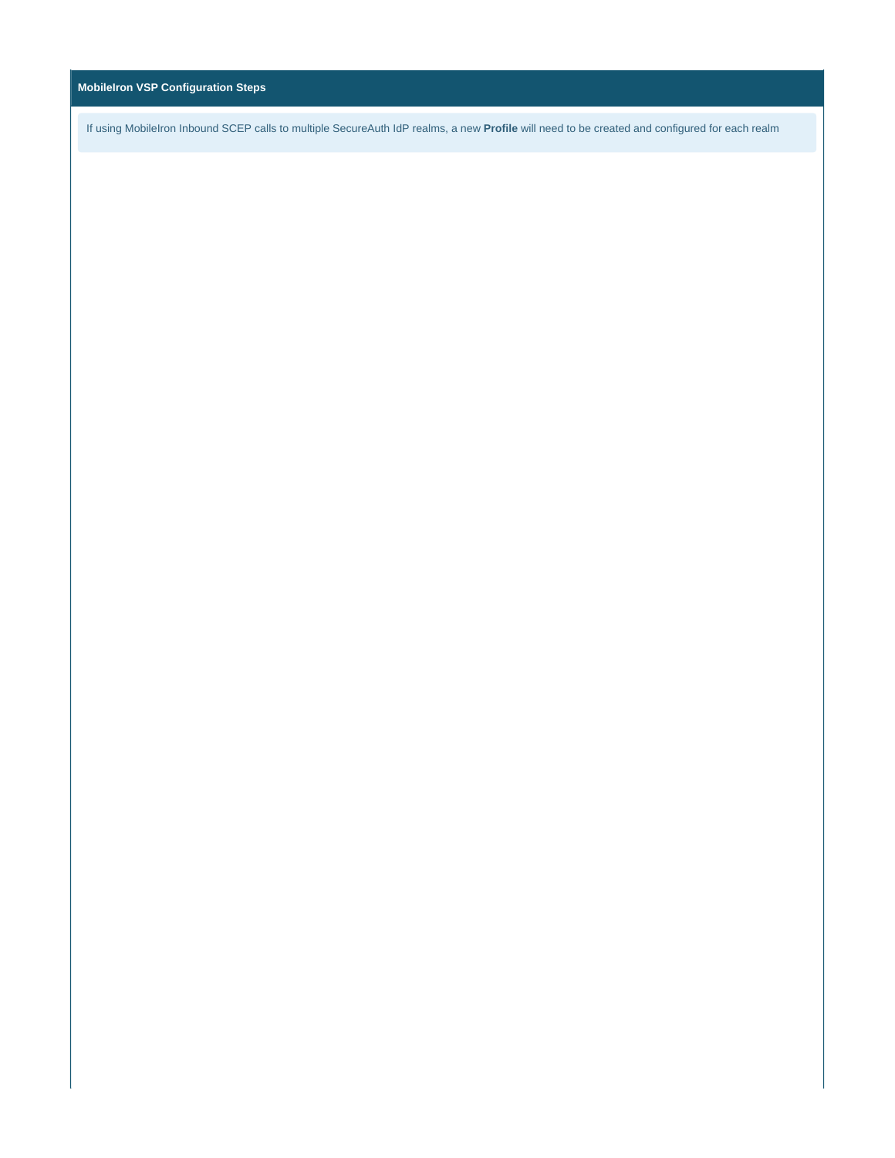## **MobileIron VSP Configuration Steps**

If using MobileIron Inbound SCEP calls to multiple SecureAuth IdP realms, a new **Profile** will need to be created and configured for each realm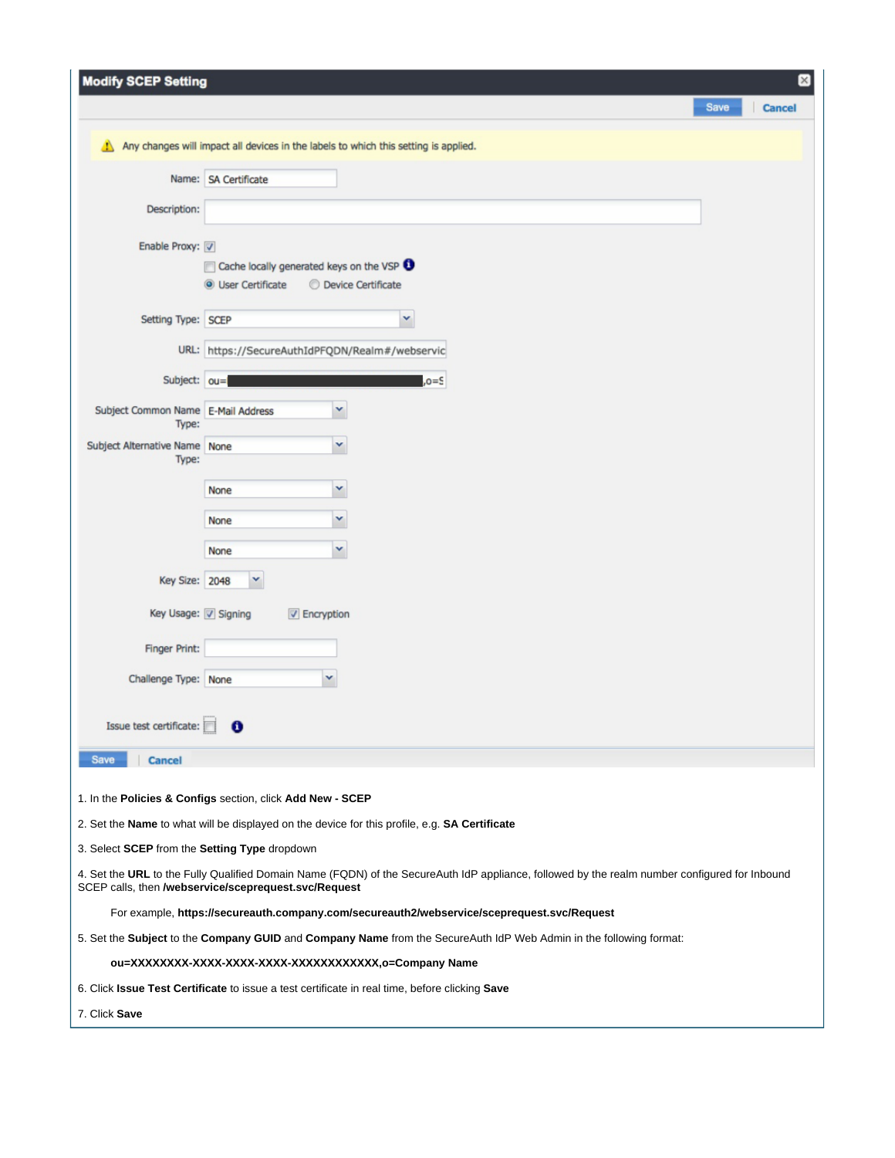| <b>Modify SCEP Setting</b>                    | $[\times]$                                                                                                                                                                                            |
|-----------------------------------------------|-------------------------------------------------------------------------------------------------------------------------------------------------------------------------------------------------------|
|                                               | Save<br>Cancel                                                                                                                                                                                        |
| ≞∖                                            | Any changes will impact all devices in the labels to which this setting is applied.                                                                                                                   |
|                                               |                                                                                                                                                                                                       |
|                                               | Name: SA Certificate                                                                                                                                                                                  |
| Description:                                  |                                                                                                                                                                                                       |
| Enable Proxy:                                 |                                                                                                                                                                                                       |
|                                               | Cache locally generated keys on the VSP                                                                                                                                                               |
|                                               | <b>O</b> User Certificate<br><b>O</b> Device Certificate                                                                                                                                              |
| Setting Type: SCEP                            | v                                                                                                                                                                                                     |
|                                               | URL: https://SecureAuthIdPFQDN/Realm#/webservic                                                                                                                                                       |
| Subject: ou=                                  | $= 0, 0$                                                                                                                                                                                              |
| Subject Common Name E-Mail Address            | Y                                                                                                                                                                                                     |
| Type:                                         |                                                                                                                                                                                                       |
| Subject Alternative Name None<br>Type:        | Y                                                                                                                                                                                                     |
|                                               | Y<br>None                                                                                                                                                                                             |
|                                               | v<br>None                                                                                                                                                                                             |
|                                               | v<br>None                                                                                                                                                                                             |
| Key Size: 2048                                | v                                                                                                                                                                                                     |
|                                               |                                                                                                                                                                                                       |
| Key Usage: V Signing                          | <b>V</b> Encryption                                                                                                                                                                                   |
| <b>Finger Print:</b>                          |                                                                                                                                                                                                       |
| Challenge Type: None                          | v                                                                                                                                                                                                     |
|                                               |                                                                                                                                                                                                       |
| Issue test certificate:                       |                                                                                                                                                                                                       |
| Save<br><b>Cancel</b>                         |                                                                                                                                                                                                       |
|                                               | 1. In the Policies & Configs section, click Add New - SCEP                                                                                                                                            |
|                                               | 2. Set the Name to what will be displayed on the device for this profile, e.g. SA Certificate                                                                                                         |
| 3. Select SCEP from the Setting Type dropdown |                                                                                                                                                                                                       |
|                                               | 4. Set the URL to the Fully Qualified Domain Name (FQDN) of the SecureAuth IdP appliance, followed by the realm number configured for Inbound<br>SCEP calls, then /webservice/sceprequest.svc/Request |
|                                               | For example, https://secureauth.company.com/secureauth2/webservice/sceprequest.svc/Request                                                                                                            |
|                                               | 5. Set the Subject to the Company GUID and Company Name from the SecureAuth IdP Web Admin in the following format:                                                                                    |
|                                               |                                                                                                                                                                                                       |
|                                               | 6. Click Issue Test Certificate to issue a test certificate in real time, before clicking Save                                                                                                        |
| 7. Click Save                                 |                                                                                                                                                                                                       |